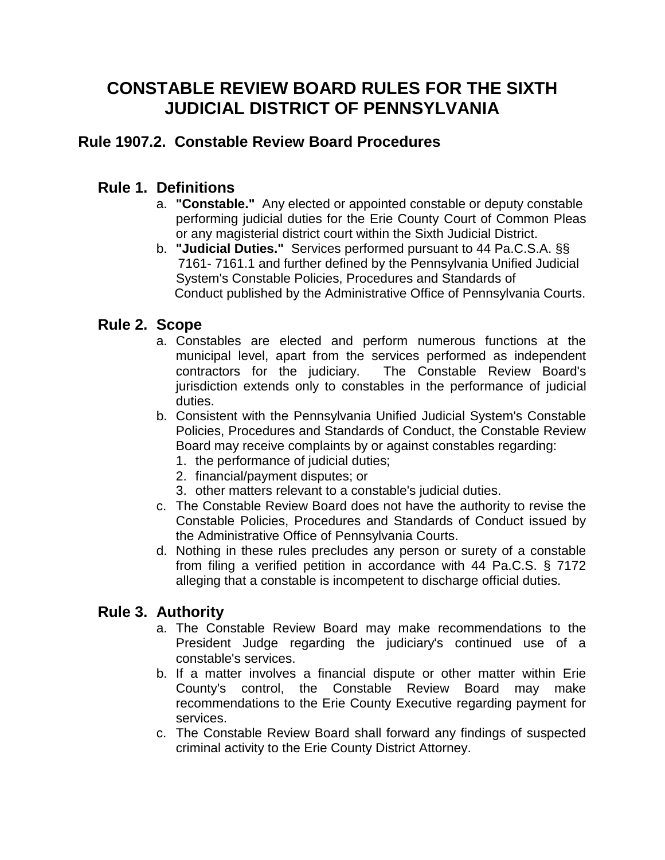# **CONSTABLE REVIEW BOARD RULES FOR THE SIXTH JUDICIAL DISTRICT OF PENNSYLVANIA**

# **Rule 1907.2. Constable Review Board Procedures**

## **Rule 1. Definitions**

- a. **"Constable."** Any elected or appointed constable or deputy constable performing judicial duties for the Erie County Court of Common Pleas or any magisterial district court within the Sixth Judicial District.
- b. **"Judicial Duties."** Services performed pursuant to 44 Pa.C.S.A. §§ 7161- 7161.1 and further defined by the Pennsylvania Unified Judicial System's Constable Policies, Procedures and Standards of Conduct published by the Administrative Office of Pennsylvania Courts.

## **Rule 2. Scope**

- a. Constables are elected and perform numerous functions at the municipal level, apart from the services performed as independent contractors for the judiciary. The Constable Review Board's jurisdiction extends only to constables in the performance of judicial duties.
- b. Consistent with the Pennsylvania Unified Judicial System's Constable Policies, Procedures and Standards of Conduct, the Constable Review Board may receive complaints by or against constables regarding:
	- 1. the performance of judicial duties;
	- 2. financial/payment disputes; or
	- 3. other matters relevant to a constable's judicial duties.
- c. The Constable Review Board does not have the authority to revise the Constable Policies, Procedures and Standards of Conduct issued by the Administrative Office of Pennsylvania Courts.
- d. Nothing in these rules precludes any person or surety of a constable from filing a verified petition in accordance with 44 Pa.C.S. § 7172 alleging that a constable is incompetent to discharge official duties.

#### **Rule 3. Authority**

- a. The Constable Review Board may make recommendations to the President Judge regarding the judiciary's continued use of a constable's services.
- b. If a matter involves a financial dispute or other matter within Erie County's control, the Constable Review Board may make recommendations to the Erie County Executive regarding payment for services.
- c. The Constable Review Board shall forward any findings of suspected criminal activity to the Erie County District Attorney.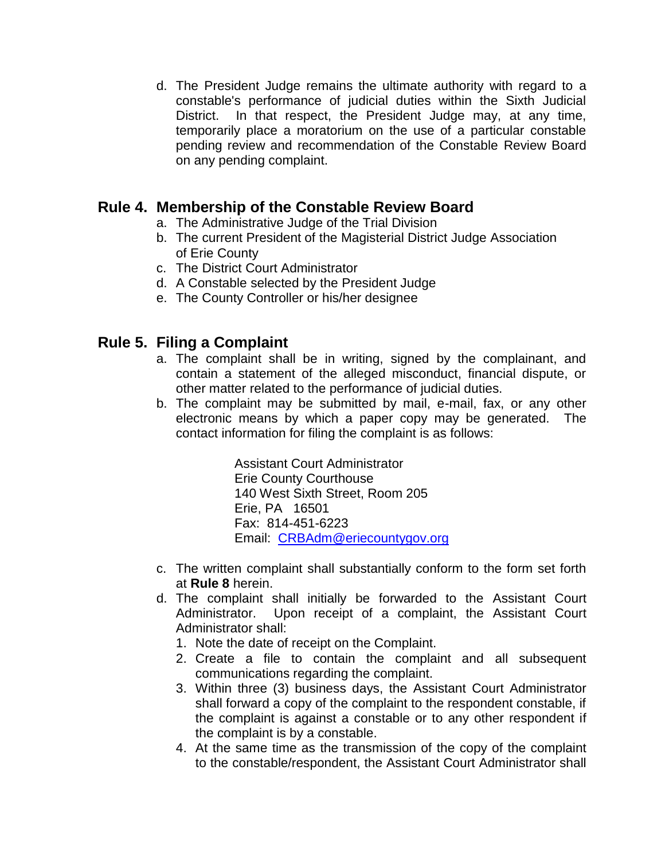d. The President Judge remains the ultimate authority with regard to a constable's performance of judicial duties within the Sixth Judicial District. In that respect, the President Judge may, at any time, temporarily place a moratorium on the use of a particular constable pending review and recommendation of the Constable Review Board on any pending complaint.

## **Rule 4. Membership of the Constable Review Board**

- a. The Administrative Judge of the Trial Division
- b. The current President of the Magisterial District Judge Association of Erie County
- c. The District Court Administrator
- d. A Constable selected by the President Judge
- e. The County Controller or his/her designee

# **Rule 5. Filing a Complaint**

- a. The complaint shall be in writing, signed by the complainant, and contain a statement of the alleged misconduct, financial dispute, or other matter related to the performance of judicial duties.
- b. The complaint may be submitted by mail, e-mail, fax, or any other electronic means by which a paper copy may be generated. The contact information for filing the complaint is as follows:

Assistant Court Administrator Erie County Courthouse 140 West Sixth Street, Room 205 Erie, PA 16501 Fax: 814-451-6223 Email: [CRBAdm@eriecountygov.org](mailto:CRBAdm@eriecountygov.org)

- c. The written complaint shall substantially conform to the form set forth at **Rule 8** herein.
- d. The complaint shall initially be forwarded to the Assistant Court Administrator. Upon receipt of a complaint, the Assistant Court Administrator shall:
	- 1. Note the date of receipt on the Complaint.
	- 2. Create a file to contain the complaint and all subsequent communications regarding the complaint.
	- 3. Within three (3) business days, the Assistant Court Administrator shall forward a copy of the complaint to the respondent constable, if the complaint is against a constable or to any other respondent if the complaint is by a constable.
	- 4. At the same time as the transmission of the copy of the complaint to the constable/respondent, the Assistant Court Administrator shall